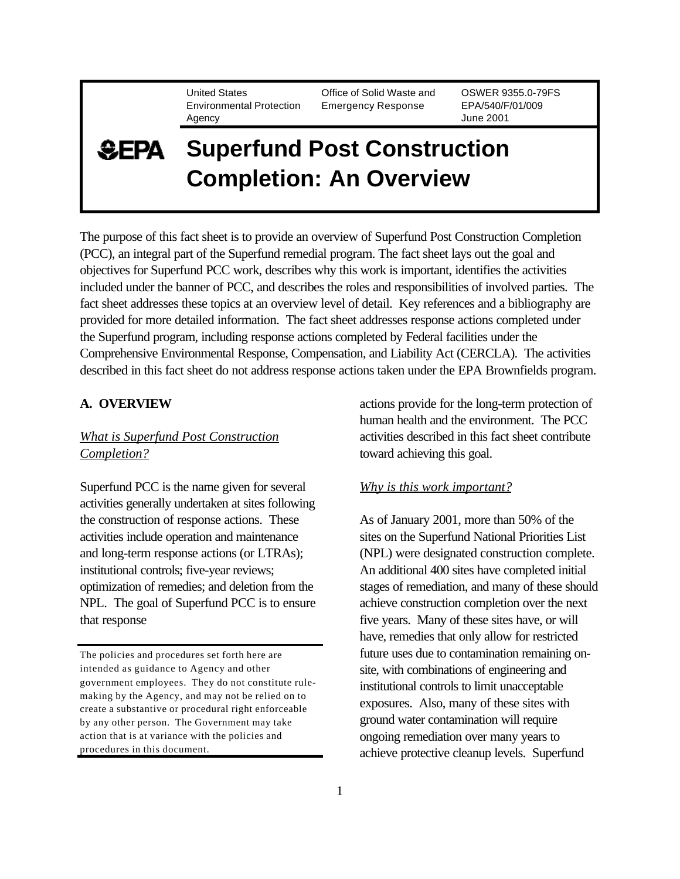United States Environmental Protection Agency

Office of Solid Waste and Emergency Response

OSWER 9355.0-79FS EPA/540/F/01/009 June 2001

# **Superfund Post Construction SEPA Completion: An Overview**

The purpose of this fact sheet is to provide an overview of Superfund Post Construction Completion (PCC), an integral part of the Superfund remedial program. The fact sheet lays out the goal and objectives for Superfund PCC work, describes why this work is important, identifies the activities included under the banner of PCC, and describes the roles and responsibilities of involved parties. The fact sheet addresses these topics at an overview level of detail. Key references and a bibliography are provided for more detailed information. The fact sheet addresses response actions completed under the Superfund program, including response actions completed by Federal facilities under the Comprehensive Environmental Response, Compensation, and Liability Act (CERCLA). The activities described in this fact sheet do not address response actions taken under the EPA Brownfields program.

## **A. OVERVIEW**

## *What is Superfund Post Construction Completion?*

Superfund PCC is the name given for several activities generally undertaken at sites following the construction of response actions. These activities include operation and maintenance and long-term response actions (or LTRAs); institutional controls; five-year reviews; optimization of remedies; and deletion from the NPL. The goal of Superfund PCC is to ensure that response

The policies and procedures set forth here are intended as guidance to Agency and other government employees. They do not constitute rulemaking by the Agency, and may not be relied on to create a substantive or procedural right enforceable by any other person. The Government may take action that is at variance with the policies and procedures in this document.

actions provide for the long-term protection of human health and the environment. The PCC activities described in this fact sheet contribute toward achieving this goal.

### *Why is this work important?*

As of January 2001, more than 50% of the sites on the Superfund National Priorities List (NPL) were designated construction complete. An additional 400 sites have completed initial stages of remediation, and many of these should achieve construction completion over the next five years. Many of these sites have, or will have, remedies that only allow for restricted future uses due to contamination remaining onsite, with combinations of engineering and institutional controls to limit unacceptable exposures. Also, many of these sites with ground water contamination will require ongoing remediation over many years to achieve protective cleanup levels. Superfund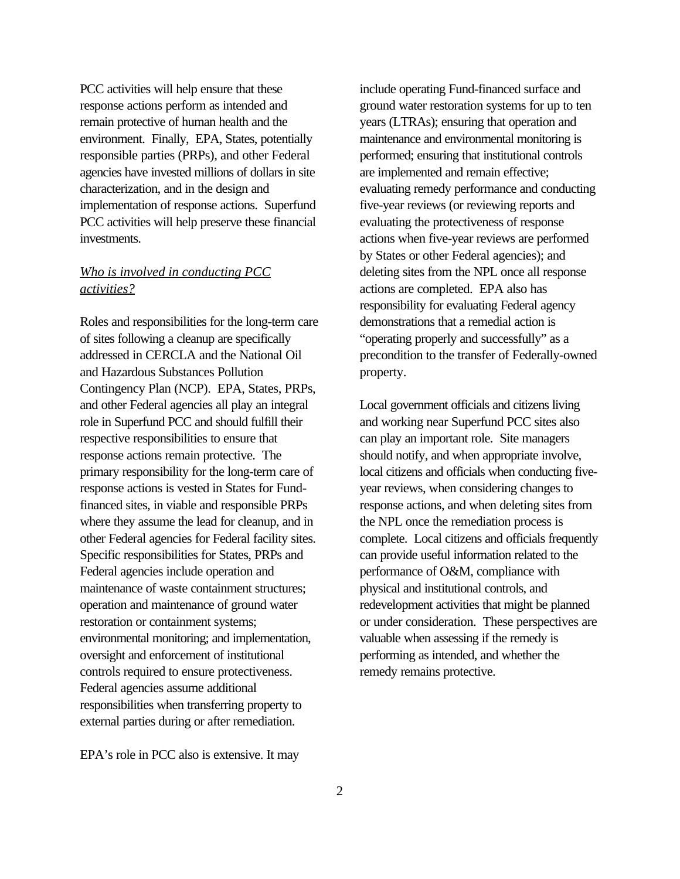PCC activities will help ensure that these response actions perform as intended and remain protective of human health and the environment. Finally, EPA, States, potentially responsible parties (PRPs), and other Federal agencies have invested millions of dollars in site characterization, and in the design and implementation of response actions. Superfund PCC activities will help preserve these financial investments.

## *Who is involved in conducting PCC activities?*

Roles and responsibilities for the long-term care of sites following a cleanup are specifically addressed in CERCLA and the National Oil and Hazardous Substances Pollution Contingency Plan (NCP). EPA, States, PRPs, and other Federal agencies all play an integral role in Superfund PCC and should fulfill their respective responsibilities to ensure that response actions remain protective. The primary responsibility for the long-term care of response actions is vested in States for Fundfinanced sites, in viable and responsible PRPs where they assume the lead for cleanup, and in other Federal agencies for Federal facility sites. Specific responsibilities for States, PRPs and Federal agencies include operation and maintenance of waste containment structures; operation and maintenance of ground water restoration or containment systems; environmental monitoring; and implementation, oversight and enforcement of institutional controls required to ensure protectiveness. Federal agencies assume additional responsibilities when transferring property to external parties during or after remediation.

include operating Fund-financed surface and ground water restoration systems for up to ten years (LTRAs); ensuring that operation and maintenance and environmental monitoring is performed; ensuring that institutional controls are implemented and remain effective; evaluating remedy performance and conducting five-year reviews (or reviewing reports and evaluating the protectiveness of response actions when five-year reviews are performed by States or other Federal agencies); and deleting sites from the NPL once all response actions are completed. EPA also has responsibility for evaluating Federal agency demonstrations that a remedial action is "operating properly and successfully" as a precondition to the transfer of Federally-owned property.

Local government officials and citizens living and working near Superfund PCC sites also can play an important role. Site managers should notify, and when appropriate involve, local citizens and officials when conducting fiveyear reviews, when considering changes to response actions, and when deleting sites from the NPL once the remediation process is complete. Local citizens and officials frequently can provide useful information related to the performance of O&M, compliance with physical and institutional controls, and redevelopment activities that might be planned or under consideration. These perspectives are valuable when assessing if the remedy is performing as intended, and whether the remedy remains protective.

EPA's role in PCC also is extensive. It may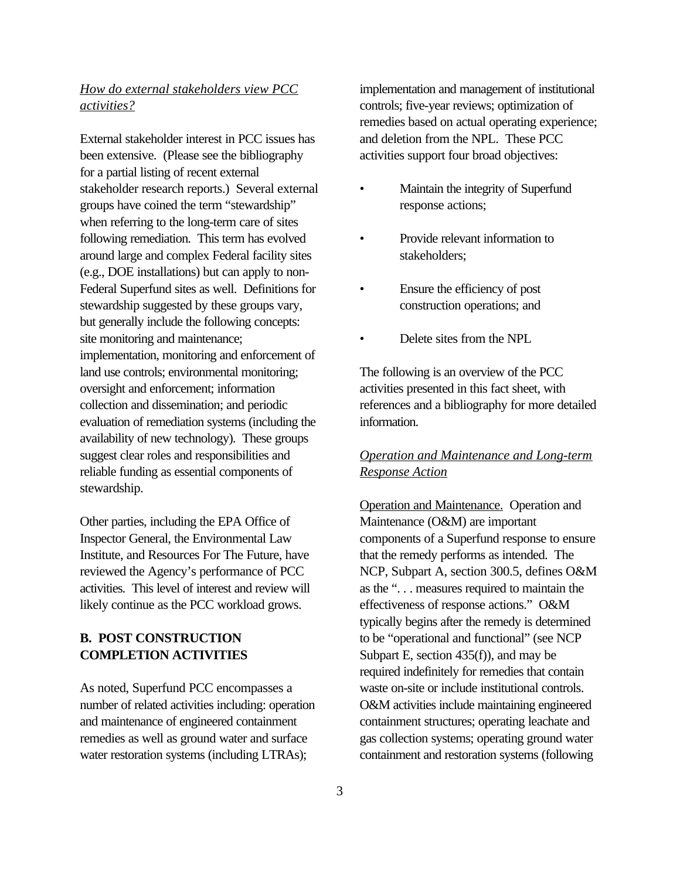## *How do external stakeholders view PCC activities?*

External stakeholder interest in PCC issues has been extensive. (Please see the bibliography for a partial listing of recent external stakeholder research reports.) Several external groups have coined the term "stewardship" when referring to the long-term care of sites following remediation. This term has evolved around large and complex Federal facility sites (e.g., DOE installations) but can apply to non-Federal Superfund sites as well. Definitions for stewardship suggested by these groups vary, but generally include the following concepts: site monitoring and maintenance; implementation, monitoring and enforcement of land use controls; environmental monitoring; oversight and enforcement; information collection and dissemination; and periodic evaluation of remediation systems (including the availability of new technology). These groups suggest clear roles and responsibilities and reliable funding as essential components of stewardship.

Other parties, including the EPA Office of Inspector General, the Environmental Law Institute, and Resources For The Future, have reviewed the Agency's performance of PCC activities. This level of interest and review will likely continue as the PCC workload grows.

## **B. POST CONSTRUCTION COMPLETION ACTIVITIES**

As noted, Superfund PCC encompasses a number of related activities including: operation and maintenance of engineered containment remedies as well as ground water and surface water restoration systems (including LTRAs);

implementation and management of institutional controls; five-year reviews; optimization of remedies based on actual operating experience; and deletion from the NPL. These PCC activities support four broad objectives:

- Maintain the integrity of Superfund response actions;
- Provide relevant information to stakeholders;
- Ensure the efficiency of post construction operations; and
- Delete sites from the NPL

The following is an overview of the PCC activities presented in this fact sheet, with references and a bibliography for more detailed information.

## *Operation and Maintenance and Long-term Response Action*

Operation and Maintenance. Operation and Maintenance (O&M) are important components of a Superfund response to ensure that the remedy performs as intended. The NCP, Subpart A, section 300.5, defines O&M as the ". . . measures required to maintain the effectiveness of response actions." O&M typically begins after the remedy is determined to be "operational and functional" (see NCP Subpart E, section 435(f)), and may be required indefinitely for remedies that contain waste on-site or include institutional controls. O&M activities include maintaining engineered containment structures; operating leachate and gas collection systems; operating ground water containment and restoration systems (following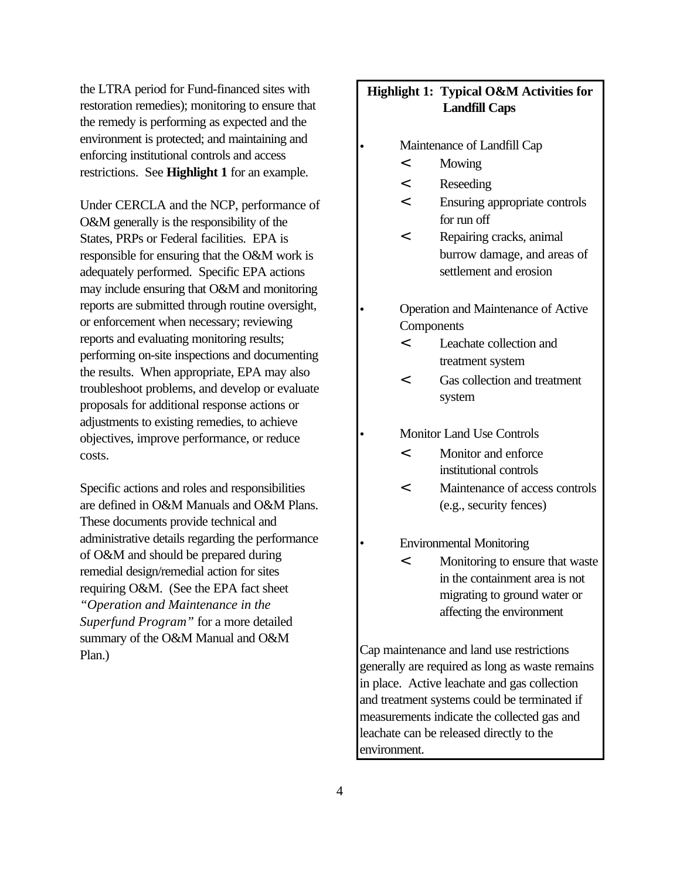the LTRA period for Fund-financed sites with restoration remedies); monitoring to ensure that the remedy is performing as expected and the environment is protected; and maintaining and enforcing institutional controls and access restrictions. See **Highlight 1** for an example.

Under CERCLA and the NCP, performance of O&M generally is the responsibility of the States, PRPs or Federal facilities. EPA is responsible for ensuring that the O&M work is adequately performed. Specific EPA actions may include ensuring that O&M and monitoring reports are submitted through routine oversight, or enforcement when necessary; reviewing reports and evaluating monitoring results; performing on-site inspections and documenting the results. When appropriate, EPA may also troubleshoot problems, and develop or evaluate proposals for additional response actions or adjustments to existing remedies, to achieve objectives, improve performance, or reduce costs.

Specific actions and roles and responsibilities are defined in O&M Manuals and O&M Plans. These documents provide technical and administrative details regarding the performance of O&M and should be prepared during remedial design/remedial action for sites requiring O&M. (See the EPA fact sheet *"Operation and Maintenance in the Superfund Program"* for a more detailed summary of the O&M Manual and O&M Plan.)

## **Highlight 1: Typical O&M Activities for Landfill Caps**

- Maintenance of Landfill Cap
	- < Mowing
	- < Reseeding
	- < Ensuring appropriate controls for run off
	- < Repairing cracks, animal burrow damage, and areas of settlement and erosion
- Operation and Maintenance of Active **Components** 
	- < Leachate collection and treatment system
	- < Gas collection and treatment system
- Monitor Land Use Controls
	- < Monitor and enforce institutional controls
	- < Maintenance of access controls (e.g., security fences)
- Environmental Monitoring
	- < Monitoring to ensure that waste in the containment area is not migrating to ground water or affecting the environment

Cap maintenance and land use restrictions generally are required as long as waste remains in place. Active leachate and gas collection and treatment systems could be terminated if measurements indicate the collected gas and leachate can be released directly to the environment.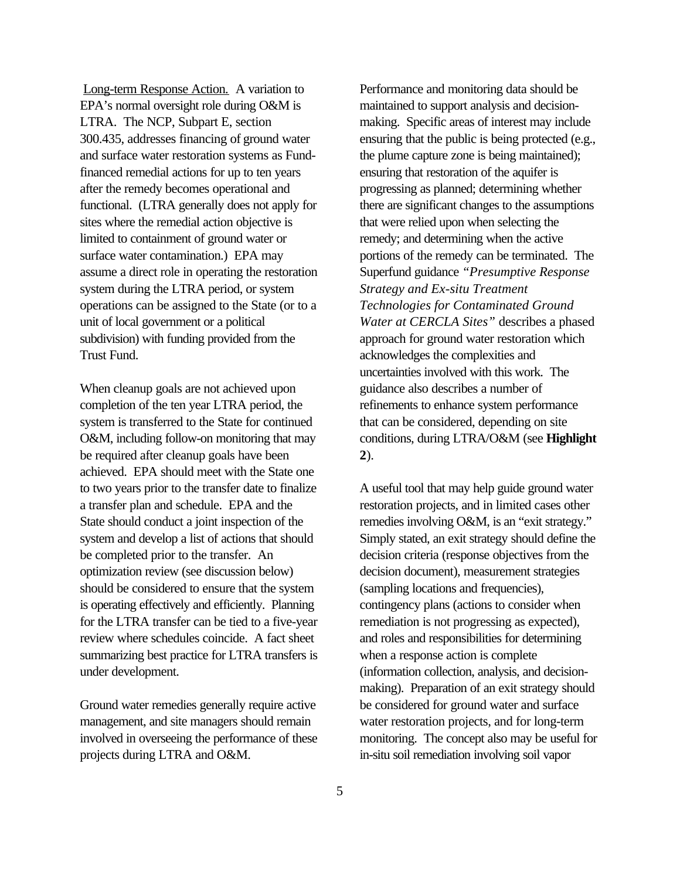Long-term Response Action. A variation to EPA's normal oversight role during O&M is LTRA. The NCP, Subpart E, section 300.435, addresses financing of ground water and surface water restoration systems as Fundfinanced remedial actions for up to ten years after the remedy becomes operational and functional. (LTRA generally does not apply for sites where the remedial action objective is limited to containment of ground water or surface water contamination.) EPA may assume a direct role in operating the restoration system during the LTRA period, or system operations can be assigned to the State (or to a unit of local government or a political subdivision) with funding provided from the Trust Fund.

When cleanup goals are not achieved upon completion of the ten year LTRA period, the system is transferred to the State for continued O&M, including follow-on monitoring that may be required after cleanup goals have been achieved. EPA should meet with the State one to two years prior to the transfer date to finalize a transfer plan and schedule. EPA and the State should conduct a joint inspection of the system and develop a list of actions that should be completed prior to the transfer. An optimization review (see discussion below) should be considered to ensure that the system is operating effectively and efficiently. Planning for the LTRA transfer can be tied to a five-year review where schedules coincide. A fact sheet summarizing best practice for LTRA transfers is under development.

Ground water remedies generally require active management, and site managers should remain involved in overseeing the performance of these projects during LTRA and O&M.

Performance and monitoring data should be maintained to support analysis and decisionmaking. Specific areas of interest may include ensuring that the public is being protected (e.g., the plume capture zone is being maintained); ensuring that restoration of the aquifer is progressing as planned; determining whether there are significant changes to the assumptions that were relied upon when selecting the remedy; and determining when the active portions of the remedy can be terminated. The Superfund guidance *"Presumptive Response Strategy and Ex-situ Treatment Technologies for Contaminated Ground Water at CERCLA Sites"* describes a phased approach for ground water restoration which acknowledges the complexities and uncertainties involved with this work. The guidance also describes a number of refinements to enhance system performance that can be considered, depending on site conditions, during LTRA/O&M (see **Highlight 2**).

A useful tool that may help guide ground water restoration projects, and in limited cases other remedies involving O&M, is an "exit strategy." Simply stated, an exit strategy should define the decision criteria (response objectives from the decision document), measurement strategies (sampling locations and frequencies), contingency plans (actions to consider when remediation is not progressing as expected), and roles and responsibilities for determining when a response action is complete (information collection, analysis, and decisionmaking). Preparation of an exit strategy should be considered for ground water and surface water restoration projects, and for long-term monitoring. The concept also may be useful for in-situ soil remediation involving soil vapor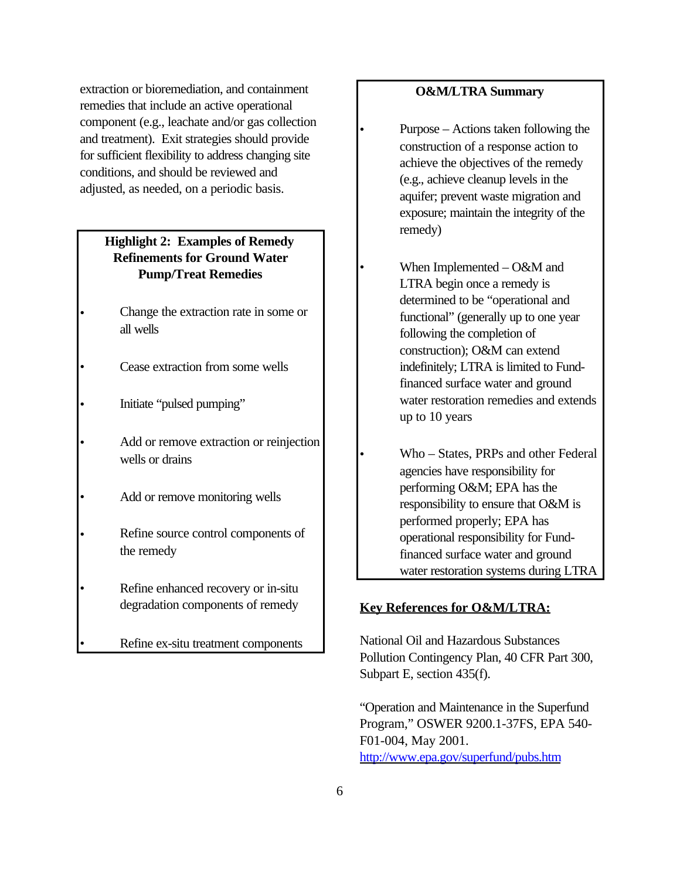extraction or bioremediation, and containment remedies that include an active operational component (e.g., leachate and/or gas collection and treatment). Exit strategies should provide for sufficient flexibility to address changing site conditions, and should be reviewed and adjusted, as needed, on a periodic basis.

## **Highlight 2: Examples of Remedy Refinements for Ground Water Pump/Treat Remedies**

- Change the extraction rate in some or all wells
- Cease extraction from some wells
- Initiate "pulsed pumping"
- Add or remove extraction or reinjection wells or drains
- Add or remove monitoring wells
- Refine source control components of the remedy
- Refine enhanced recovery or in-situ degradation components of remedy
	- Refine ex-situ treatment components

## **O&M/LTRA Summary**

- Purpose Actions taken following the construction of a response action to achieve the objectives of the remedy (e.g., achieve cleanup levels in the aquifer; prevent waste migration and exposure; maintain the integrity of the remedy)
- When Implemented O&M and LTRA begin once a remedy is determined to be "operational and functional" (generally up to one year following the completion of construction); O&M can extend indefinitely; LTRA is limited to Fundfinanced surface water and ground water restoration remedies and extends up to 10 years
- Who States, PRPs and other Federal agencies have responsibility for performing O&M; EPA has the responsibility to ensure that O&M is performed properly; EPA has operational responsibility for Fundfinanced surface water and ground water restoration systems during LTRA

## **Key References for O&M/LTRA:**

National Oil and Hazardous Substances Pollution Contingency Plan, 40 CFR Part 300, Subpart E, section 435(f).

"Operation and Maintenance in the Superfund Program," OSWER 9200.1-37FS, EPA 540- F01-004, May 2001. <http://www.epa.gov/superfund/pubs.htm>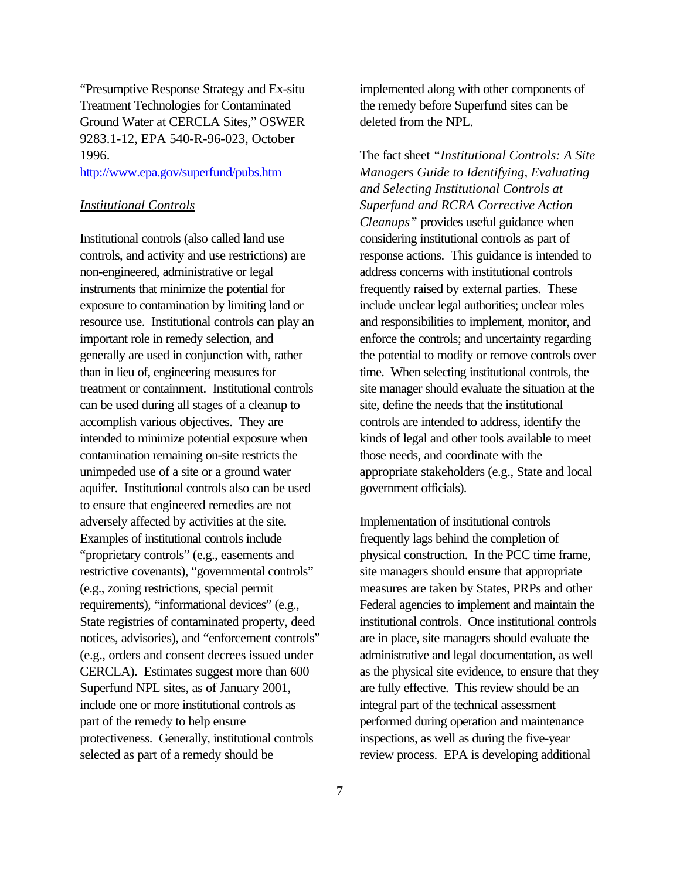"Presumptive Response Strategy and Ex-situ Treatment Technologies for Contaminated Ground Water at CERCLA Sites," OSWER 9283.1-12, EPA 540-R-96-023, October 1996.

### <http://www.epa.gov/superfund/pubs.htm>

#### *Institutional Controls*

Institutional controls (also called land use controls, and activity and use restrictions) are non-engineered, administrative or legal instruments that minimize the potential for exposure to contamination by limiting land or resource use. Institutional controls can play an important role in remedy selection, and generally are used in conjunction with, rather than in lieu of, engineering measures for treatment or containment. Institutional controls can be used during all stages of a cleanup to accomplish various objectives. They are intended to minimize potential exposure when contamination remaining on-site restricts the unimpeded use of a site or a ground water aquifer. Institutional controls also can be used to ensure that engineered remedies are not adversely affected by activities at the site. Examples of institutional controls include "proprietary controls" (e.g., easements and restrictive covenants), "governmental controls" (e.g., zoning restrictions, special permit requirements), "informational devices" (e.g., State registries of contaminated property, deed notices, advisories), and "enforcement controls" (e.g., orders and consent decrees issued under CERCLA). Estimates suggest more than 600 Superfund NPL sites, as of January 2001, include one or more institutional controls as part of the remedy to help ensure protectiveness. Generally, institutional controls selected as part of a remedy should be

implemented along with other components of the remedy before Superfund sites can be deleted from the NPL.

The fact sheet *"Institutional Controls: A Site Managers Guide to Identifying, Evaluating and Selecting Institutional Controls at Superfund and RCRA Corrective Action Cleanups"* provides useful guidance when considering institutional controls as part of response actions. This guidance is intended to address concerns with institutional controls frequently raised by external parties. These include unclear legal authorities; unclear roles and responsibilities to implement, monitor, and enforce the controls; and uncertainty regarding the potential to modify or remove controls over time. When selecting institutional controls, the site manager should evaluate the situation at the site, define the needs that the institutional controls are intended to address, identify the kinds of legal and other tools available to meet those needs, and coordinate with the appropriate stakeholders (e.g., State and local government officials).

Implementation of institutional controls frequently lags behind the completion of physical construction. In the PCC time frame, site managers should ensure that appropriate measures are taken by States, PRPs and other Federal agencies to implement and maintain the institutional controls. Once institutional controls are in place, site managers should evaluate the administrative and legal documentation, as well as the physical site evidence, to ensure that they are fully effective. This review should be an integral part of the technical assessment performed during operation and maintenance inspections, as well as during the five-year review process. EPA is developing additional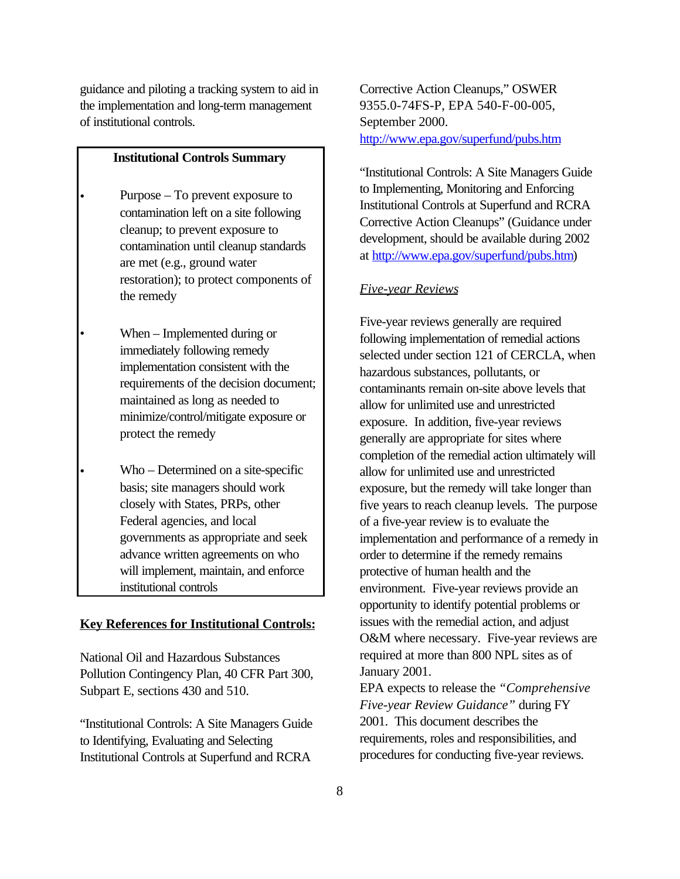guidance and piloting a tracking system to aid in the implementation and long-term management of institutional controls.

#### **Institutional Controls Summary**

- Purpose To prevent exposure to contamination left on a site following cleanup; to prevent exposure to contamination until cleanup standards are met (e.g., ground water restoration); to protect components of the remedy
- When Implemented during or immediately following remedy implementation consistent with the requirements of the decision document; maintained as long as needed to minimize/control/mitigate exposure or protect the remedy
- Who Determined on a site-specific basis; site managers should work closely with States, PRPs, other Federal agencies, and local governments as appropriate and seek advance written agreements on who will implement, maintain, and enforce institutional controls

#### **Key References for Institutional Controls:**

National Oil and Hazardous Substances Pollution Contingency Plan, 40 CFR Part 300, Subpart E, sections 430 and 510.

"Institutional Controls: A Site Managers Guide to Identifying, Evaluating and Selecting Institutional Controls at Superfund and RCRA

Corrective Action Cleanups," OSWER 9355.0-74FS-P, EPA 540-F-00-005, September 2000. <http://www.epa.gov/superfund/pubs.htm>

"Institutional Controls: A Site Managers Guide to Implementing, Monitoring and Enforcing Institutional Controls at Superfund and RCRA Corrective Action Cleanups" (Guidance under development, should be available during 2002 at [http://www.epa.gov/superfund/pubs.htm\)](http://www.epa.gov/superfund/pubs.htm)

#### *Five-year Reviews*

Five-year reviews generally are required following implementation of remedial actions selected under section 121 of CERCLA, when hazardous substances, pollutants, or contaminants remain on-site above levels that allow for unlimited use and unrestricted exposure. In addition, five-year reviews generally are appropriate for sites where completion of the remedial action ultimately will allow for unlimited use and unrestricted exposure, but the remedy will take longer than five years to reach cleanup levels. The purpose of a five-year review is to evaluate the implementation and performance of a remedy in order to determine if the remedy remains protective of human health and the environment. Five-year reviews provide an opportunity to identify potential problems or issues with the remedial action, and adjust O&M where necessary. Five-year reviews are required at more than 800 NPL sites as of January 2001.

EPA expects to release the *"Comprehensive Five-year Review Guidance"* during FY 2001. This document describes the requirements, roles and responsibilities, and procedures for conducting five-year reviews.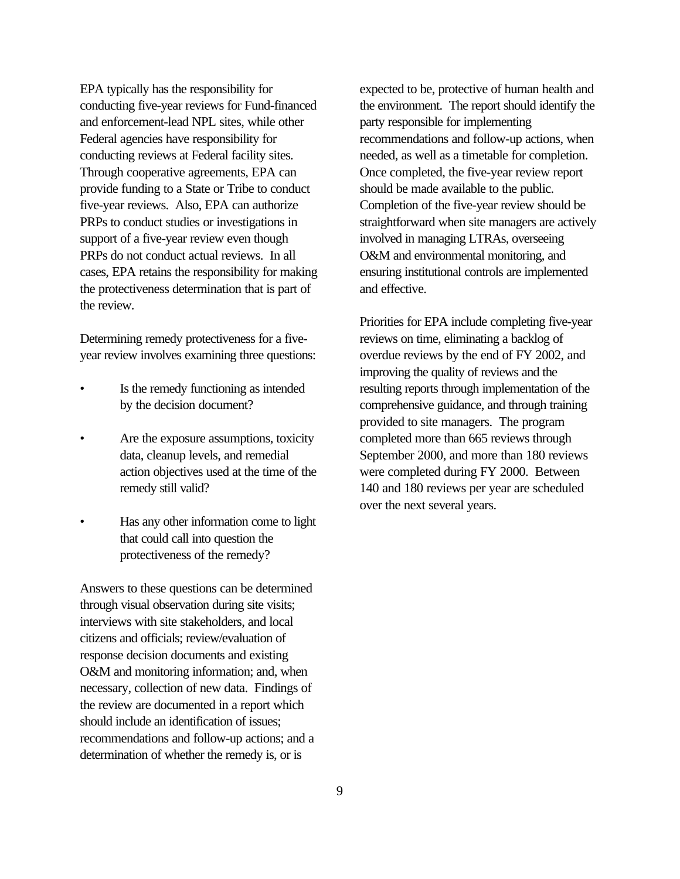EPA typically has the responsibility for conducting five-year reviews for Fund-financed and enforcement-lead NPL sites, while other Federal agencies have responsibility for conducting reviews at Federal facility sites. Through cooperative agreements, EPA can provide funding to a State or Tribe to conduct five-year reviews. Also, EPA can authorize PRPs to conduct studies or investigations in support of a five-year review even though PRPs do not conduct actual reviews. In all cases, EPA retains the responsibility for making the protectiveness determination that is part of the review.

Determining remedy protectiveness for a fiveyear review involves examining three questions:

- Is the remedy functioning as intended by the decision document?
- Are the exposure assumptions, toxicity data, cleanup levels, and remedial action objectives used at the time of the remedy still valid?
- Has any other information come to light that could call into question the protectiveness of the remedy?

Answers to these questions can be determined through visual observation during site visits; interviews with site stakeholders, and local citizens and officials; review/evaluation of response decision documents and existing O&M and monitoring information; and, when necessary, collection of new data. Findings of the review are documented in a report which should include an identification of issues; recommendations and follow-up actions; and a determination of whether the remedy is, or is

expected to be, protective of human health and the environment. The report should identify the party responsible for implementing recommendations and follow-up actions, when needed, as well as a timetable for completion. Once completed, the five-year review report should be made available to the public. Completion of the five-year review should be straightforward when site managers are actively involved in managing LTRAs, overseeing O&M and environmental monitoring, and ensuring institutional controls are implemented and effective.

Priorities for EPA include completing five-year reviews on time, eliminating a backlog of overdue reviews by the end of FY 2002, and improving the quality of reviews and the resulting reports through implementation of the comprehensive guidance, and through training provided to site managers. The program completed more than 665 reviews through September 2000, and more than 180 reviews were completed during FY 2000. Between 140 and 180 reviews per year are scheduled over the next several years.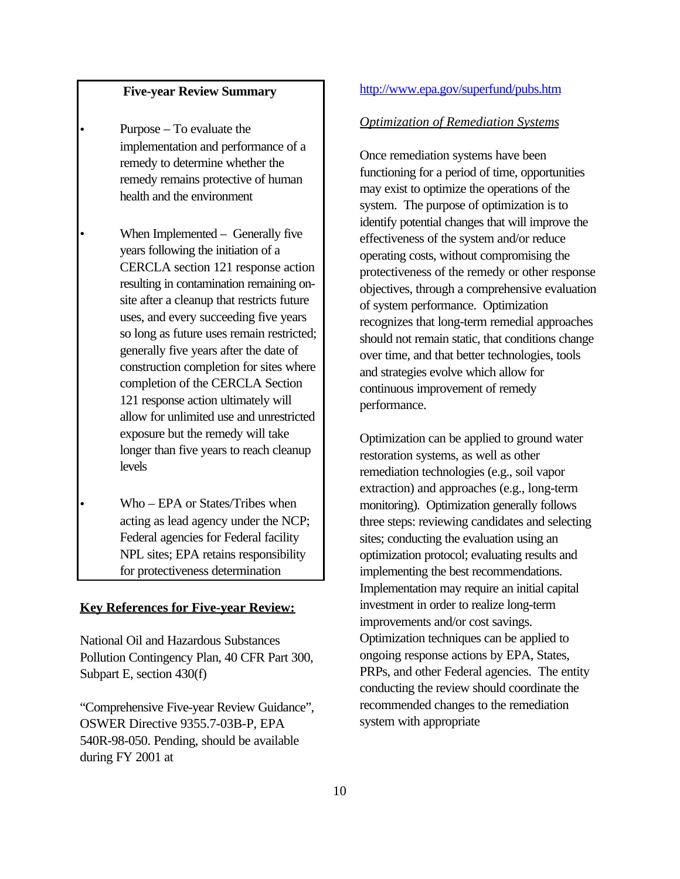## **Five-year Review Summary**

- Purpose To evaluate the implementation and performance of a remedy to determine whether the remedy remains protective of human health and the environment
- When Implemented  $-$  Generally five years following the initiation of a CERCLA section 121 response action resulting in contamination remaining onsite after a cleanup that restricts future uses, and every succeeding five years so long as future uses remain restricted; generally five years after the date of construction completion for sites where completion of the CERCLA Section 121 response action ultimately will allow for unlimited use and unrestricted exposure but the remedy will take longer than five years to reach cleanup levels
- Who EPA or States/Tribes when acting as lead agency under the NCP; Federal agencies for Federal facility NPL sites; EPA retains responsibility for protectiveness determination

### **Key References for Five-year Review:**

National Oil and Hazardous Substances Pollution Contingency Plan, 40 CFR Part 300, Subpart E, section 430(f)

"Comprehensive Five-year Review Guidance", OSWER Directive 9355.7-03B-P, EPA 540R-98-050. Pending, should be available during FY 2001 at

### <http://www.epa.gov/superfund/pubs.htm>

## *Optimization of Remediation Systems*

Once remediation systems have been functioning for a period of time, opportunities may exist to optimize the operations of the system. The purpose of optimization is to identify potential changes that will improve the effectiveness of the system and/or reduce operating costs, without compromising the protectiveness of the remedy or other response objectives, through a comprehensive evaluation of system performance. Optimization recognizes that long-term remedial approaches should not remain static, that conditions change over time, and that better technologies, tools and strategies evolve which allow for continuous improvement of remedy performance.

Optimization can be applied to ground water restoration systems, as well as other remediation technologies (e.g., soil vapor extraction) and approaches (e.g., long-term monitoring). Optimization generally follows three steps: reviewing candidates and selecting sites; conducting the evaluation using an optimization protocol; evaluating results and implementing the best recommendations. Implementation may require an initial capital investment in order to realize long-term improvements and/or cost savings. Optimization techniques can be applied to ongoing response actions by EPA, States, PRPs, and other Federal agencies. The entity conducting the review should coordinate the recommended changes to the remediation system with appropriate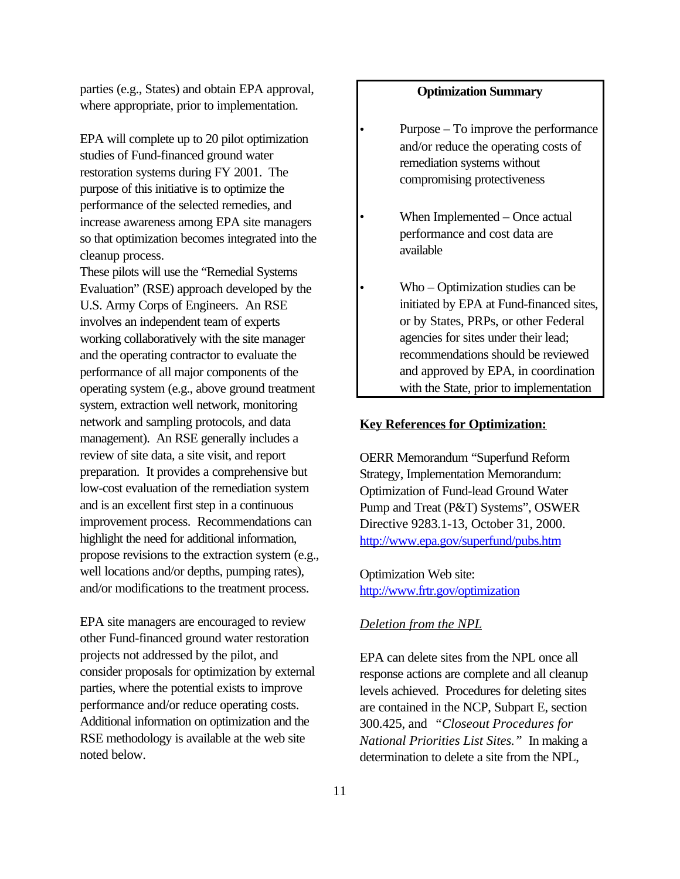parties (e.g., States) and obtain EPA approval, where appropriate, prior to implementation.

EPA will complete up to 20 pilot optimization studies of Fund-financed ground water restoration systems during FY 2001. The purpose of this initiative is to optimize the performance of the selected remedies, and increase awareness among EPA site managers so that optimization becomes integrated into the cleanup process.

These pilots will use the "Remedial Systems Evaluation" (RSE) approach developed by the U.S. Army Corps of Engineers. An RSE involves an independent team of experts working collaboratively with the site manager and the operating contractor to evaluate the performance of all major components of the operating system (e.g., above ground treatment system, extraction well network, monitoring network and sampling protocols, and data management). An RSE generally includes a review of site data, a site visit, and report preparation. It provides a comprehensive but low-cost evaluation of the remediation system and is an excellent first step in a continuous improvement process. Recommendations can highlight the need for additional information, propose revisions to the extraction system (e.g., well locations and/or depths, pumping rates), and/or modifications to the treatment process.

EPA site managers are encouraged to review other Fund-financed ground water restoration projects not addressed by the pilot, and consider proposals for optimization by external parties, where the potential exists to improve performance and/or reduce operating costs. Additional information on optimization and the RSE methodology is available at the web site noted below.

## **Optimization Summary**

- Purpose To improve the performance and/or reduce the operating costs of remediation systems without compromising protectiveness
- When Implemented Once actual performance and cost data are available
- Who Optimization studies can be initiated by EPA at Fund-financed sites, or by States, PRPs, or other Federal agencies for sites under their lead; recommendations should be reviewed and approved by EPA, in coordination with the State, prior to implementation

#### **Key References for Optimization:**

OERR Memorandum "Superfund Reform Strategy, Implementation Memorandum: Optimization of Fund-lead Ground Water Pump and Treat (P&T) Systems", OSWER Directive 9283.1-13, October 31, 2000. <http://www.epa.gov/superfund/pubs.htm>

Optimization Web site: <http://www.frtr.gov/optimization>

## *Deletion from the NPL*

EPA can delete sites from the NPL once all response actions are complete and all cleanup levels achieved. Procedures for deleting sites are contained in the NCP, Subpart E, section 300.425, and *"Closeout Procedures for National Priorities List Sites."* In making a determination to delete a site from the NPL,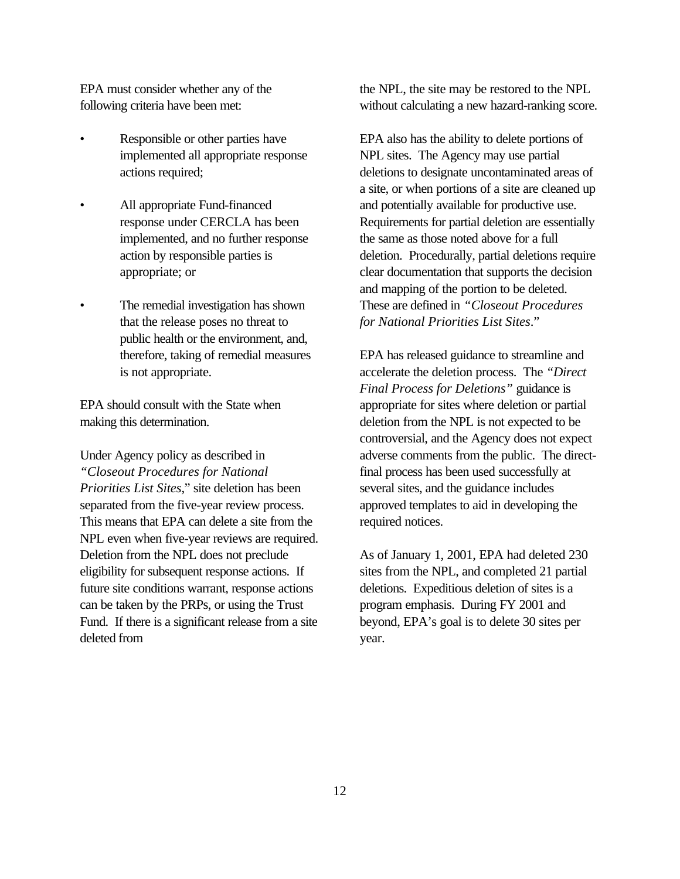EPA must consider whether any of the following criteria have been met:

- Responsible or other parties have implemented all appropriate response actions required;
- All appropriate Fund-financed response under CERCLA has been implemented, and no further response action by responsible parties is appropriate; or
- The remedial investigation has shown that the release poses no threat to public health or the environment, and, therefore, taking of remedial measures is not appropriate.

EPA should consult with the State when making this determination.

Under Agency policy as described in *"Closeout Procedures for National Priorities List Sites*," site deletion has been separated from the five-year review process. This means that EPA can delete a site from the NPL even when five-year reviews are required. Deletion from the NPL does not preclude eligibility for subsequent response actions. If future site conditions warrant, response actions can be taken by the PRPs, or using the Trust Fund. If there is a significant release from a site deleted from

the NPL, the site may be restored to the NPL without calculating a new hazard-ranking score.

EPA also has the ability to delete portions of NPL sites. The Agency may use partial deletions to designate uncontaminated areas of a site, or when portions of a site are cleaned up and potentially available for productive use. Requirements for partial deletion are essentially the same as those noted above for a full deletion. Procedurally, partial deletions require clear documentation that supports the decision and mapping of the portion to be deleted. These are defined in *"Closeout Procedures for National Priorities List Sites*."

EPA has released guidance to streamline and accelerate the deletion process. The *"Direct Final Process for Deletions"* guidance is appropriate for sites where deletion or partial deletion from the NPL is not expected to be controversial, and the Agency does not expect adverse comments from the public. The directfinal process has been used successfully at several sites, and the guidance includes approved templates to aid in developing the required notices.

As of January 1, 2001, EPA had deleted 230 sites from the NPL, and completed 21 partial deletions. Expeditious deletion of sites is a program emphasis. During FY 2001 and beyond, EPA's goal is to delete 30 sites per year.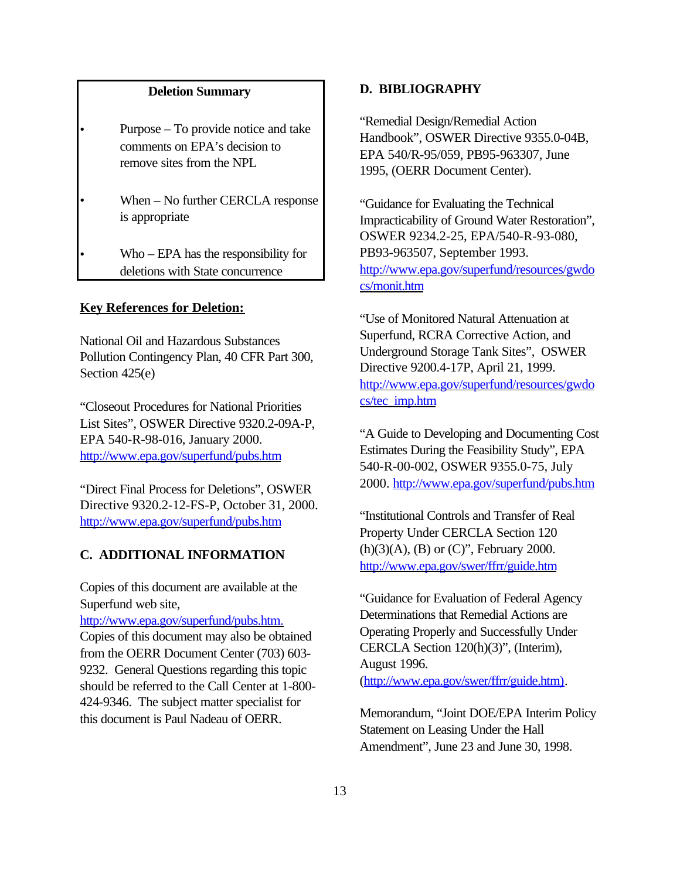### **Deletion Summary**

- Purpose To provide notice and take comments on EPA's decision to remove sites from the NPL
- When No further CERCLA response is appropriate

• Who – EPA has the responsibility for deletions with State concurrence

## **Key References for Deletion:**

National Oil and Hazardous Substances Pollution Contingency Plan, 40 CFR Part 300, Section 425(e)

"Closeout Procedures for National Priorities List Sites", OSWER Directive 9320.2-09A-P, EPA 540-R-98-016, January 2000. <http://www.epa.gov/superfund/pubs.htm>

"Direct Final Process for Deletions", OSWER Directive 9320.2-12-FS-P, October 31, 2000. <http://www.epa.gov/superfund/pubs.htm>

### **C. ADDITIONAL INFORMATION**

Copies of this document are available at the Superfund web site,

[http://www.epa.gov/superfund/pubs.htm.](http://www.epa.gov/superfund/pubs.htm)  Copies of this document may also be obtained from the OERR Document Center (703) 603- 9232. General Questions regarding this topic should be referred to the Call Center at 1-800- 424-9346. The subject matter specialist for this document is Paul Nadeau of OERR.

### **D. BIBLIOGRAPHY**

"Remedial Design/Remedial Action Handbook", OSWER Directive 9355.0-04B, EPA 540/R-95/059, PB95-963307, June 1995, (OERR Document Center).

"Guidance for Evaluating the Technical Impracticability of Ground Water Restoration", OSWER 9234.2-25, EPA/540-R-93-080, PB93-963507, September 1993. [http://www.epa.gov/superfund/resources/gwdo](http://www.epa.gov/superfund/resources/gwdocs/monit.htm)  cs/monit.htm

"Use of Monitored Natural Attenuation at Superfund, RCRA Corrective Action, and Underground Storage Tank Sites", OSWER Directive 9200.4-17P, April 21, 1999. [http://www.epa.gov/superfund/resources/gwdo](http://www.epa.gov/superfund/resources/gwdocs/tec_imp.htm)  cs/tec\_imp.htm

"A Guide to Developing and Documenting Cost Estimates During the Feasibility Study", EPA 540-R-00-002, OSWER 9355.0-75, July 2000.<http://www.epa.gov/superfund/pubs.htm>

"Institutional Controls and Transfer of Real Property Under CERCLA Section 120 (h)(3)(A), (B) or (C)", February 2000. http://www.epa.gov/swer/ffrr/guide.htm

"Guidance for Evaluation of Federal Agency Determinations that Remedial Actions are Operating Properly and Successfully Under CERCLA Section 120(h)(3)", (Interim), August 1996. (http://www.epa.gov/swer/ffrr/guide.htm).

Memorandum, "Joint DOE/EPA Interim Policy Statement on Leasing Under the Hall Amendment", June 23 and June 30, 1998.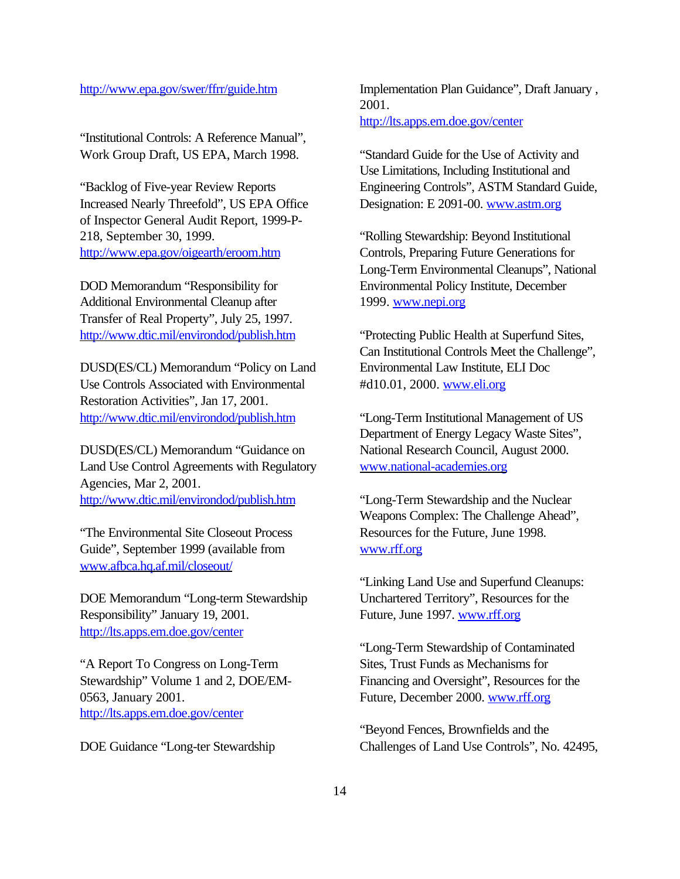### http://www.epa.gov/swer/ffrr/guide.htm

"Institutional Controls: A Reference Manual", Work Group Draft, US EPA, March 1998.

"Backlog of Five-year Review Reports Increased Nearly Threefold", US EPA Office of Inspector General Audit Report, 1999-P-218, September 30, 1999. <http://www.epa.gov/oigearth/eroom.htm>

DOD Memorandum "Responsibility for Additional Environmental Cleanup after Transfer of Real Property", July 25, 1997. <http://www.dtic.mil/environdod/publish.htm>

DUSD(ES/CL) Memorandum "Policy on Land Use Controls Associated with Environmental Restoration Activities", Jan 17, 2001. <http://www.dtic.mil/environdod/publish.htm>

DUSD(ES/CL) Memorandum "Guidance on Land Use Control Agreements with Regulatory Agencies, Mar 2, 2001. <http://www.dtic.mil/environdod/publish.htm>

"The Environmental Site Closeout Process Guide", September 1999 (available from [www.afbca.hq.af.mil/closeout/](http://www.afbca.hq.af.mil/closeout/) 

DOE Memorandum "Long-term Stewardship Responsibility" January 19, 2001. <http://lts.apps.em.doe.gov/center>

"A Report To Congress on Long-Term Stewardship" Volume 1 and 2, DOE/EM-0563, January 2001. <http://lts.apps.em.doe.gov/center>

DOE Guidance "Long-ter Stewardship

Implementation Plan Guidance", Draft January , 2001. <http://lts.apps.em.doe.gov/center>

"Standard Guide for the Use of Activity and Use Limitations, Including Institutional and Engineering Controls", ASTM Standard Guide, Designation: E 2091-00. [www.astm.org](http://www.astm.org) 

"Rolling Stewardship: Beyond Institutional Controls, Preparing Future Generations for Long-Term Environmental Cleanups", National Environmental Policy Institute, December 1999. www.nepi.org

"Protecting Public Health at Superfund Sites, Can Institutional Controls Meet the Challenge", Environmental Law Institute, ELI Doc #d10.01, 2000. [www.eli.org](http://www.eli.org) 

"Long-Term Institutional Management of US Department of Energy Legacy Waste Sites", National Research Council, August 2000. [www.national-academies.org](http://www.national-academies.org) 

"Long-Term Stewardship and the Nuclear Weapons Complex: The Challenge Ahead", Resources for the Future, June 1998. [www.rff.org](http://www.rff.org) 

"Linking Land Use and Superfund Cleanups: Unchartered Territory", Resources for the Future, June 1997. [www.rff.org](http://www.rff.org) 

"Long-Term Stewardship of Contaminated Sites, Trust Funds as Mechanisms for Financing and Oversight", Resources for the Future, December 2000. [www.rff.org](http://www.rff.org) 

"Beyond Fences, Brownfields and the Challenges of Land Use Controls", No. 42495,